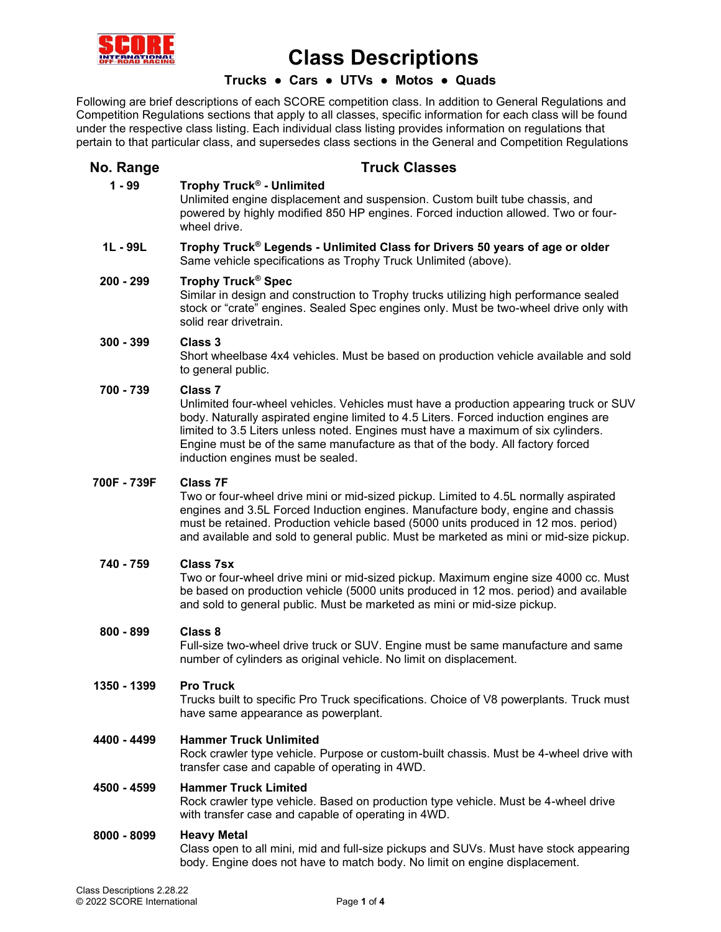

# **Trucks ● Cars ● UTVs ● Motos ● Quads**

Following are brief descriptions of each SCORE competition class. In addition to General Regulations and Competition Regulations sections that apply to all classes, specific information for each class will be found under the respective class listing. Each individual class listing provides information on regulations that pertain to that particular class, and supersedes class sections in the General and Competition Regulations

# **No. Range <b>Truck Classes**

# **1 - 99 Trophy Truck® - Unlimited**

Unlimited engine displacement and suspension. Custom built tube chassis, and powered by highly modified 850 HP engines. Forced induction allowed. Two or fourwheel drive.

### **1L - 99L Trophy Truck® Legends - Unlimited Class for Drivers 50 years of age or older** Same vehicle specifications as Trophy Truck Unlimited (above).

# **200 - 299 Trophy Truck® Spec**

Similar in design and construction to Trophy trucks utilizing high performance sealed stock or "crate" engines. Sealed Spec engines only. Must be two-wheel drive only with solid rear drivetrain.

# **300 - 399 Class 3**

Short wheelbase 4x4 vehicles. Must be based on production vehicle available and sold to general public.

### **700 - 739 Class 7**

Unlimited four-wheel vehicles. Vehicles must have a production appearing truck or SUV body. Naturally aspirated engine limited to 4.5 Liters. Forced induction engines are limited to 3.5 Liters unless noted. Engines must have a maximum of six cylinders. Engine must be of the same manufacture as that of the body. All factory forced induction engines must be sealed.

# **700F - 739F Class 7F**

Two or four-wheel drive mini or mid-sized pickup. Limited to 4.5L normally aspirated engines and 3.5L Forced Induction engines. Manufacture body, engine and chassis must be retained. Production vehicle based (5000 units produced in 12 mos. period) and available and sold to general public. Must be marketed as mini or mid-size pickup.

#### **740 - 759 Class 7sx**

Two or four-wheel drive mini or mid-sized pickup. Maximum engine size 4000 cc. Must be based on production vehicle (5000 units produced in 12 mos. period) and available and sold to general public. Must be marketed as mini or mid-size pickup.

#### **800 - 899 Class 8**

Full-size two-wheel drive truck or SUV. Engine must be same manufacture and same number of cylinders as original vehicle. No limit on displacement.

#### **1350 - 1399 Pro Truck**

Trucks built to specific Pro Truck specifications. Choice of V8 powerplants. Truck must have same appearance as powerplant.

#### **4400 - 4499 Hammer Truck Unlimited**

Rock crawler type vehicle. Purpose or custom-built chassis. Must be 4-wheel drive with transfer case and capable of operating in 4WD.

#### **4500 - 4599 Hammer Truck Limited**

Rock crawler type vehicle. Based on production type vehicle. Must be 4-wheel drive with transfer case and capable of operating in 4WD.

#### **8000 - 8099 Heavy Metal**

Class open to all mini, mid and full-size pickups and SUVs. Must have stock appearing body. Engine does not have to match body. No limit on engine displacement.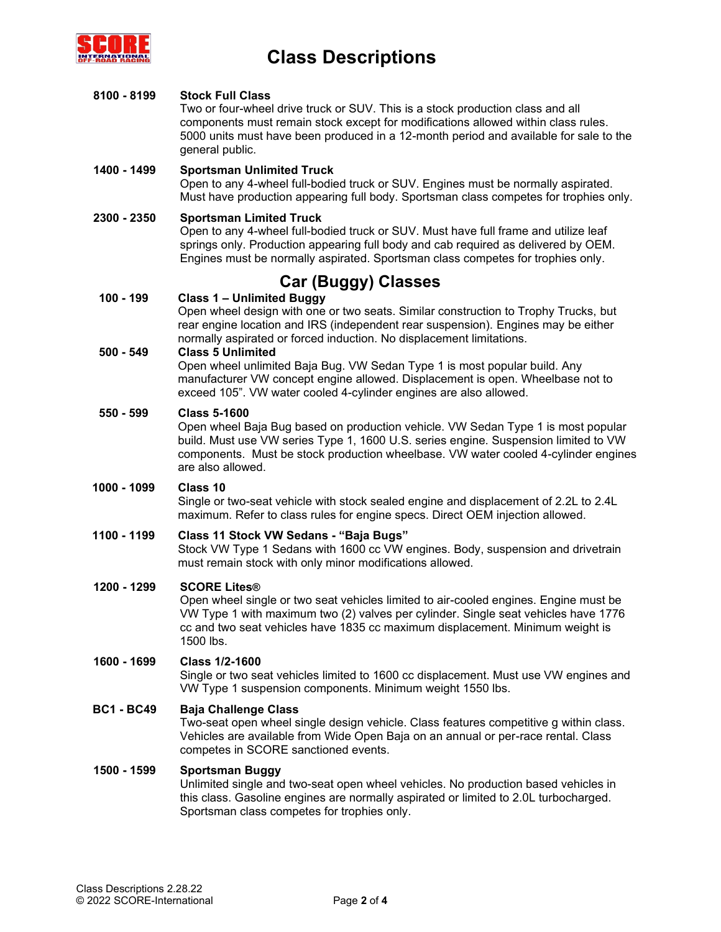

### **8100 - 8199 Stock Full Class**

Two or four-wheel drive truck or SUV. This is a stock production class and all components must remain stock except for modifications allowed within class rules. 5000 units must have been produced in a 12-month period and available for sale to the general public.

# **1400 - 1499 Sportsman Unlimited Truck**

Open to any 4-wheel full-bodied truck or SUV. Engines must be normally aspirated. Must have production appearing full body. Sportsman class competes for trophies only.

### **2300 - 2350 Sportsman Limited Truck**

Open to any 4-wheel full-bodied truck or SUV. Must have full frame and utilize leaf springs only. Production appearing full body and cab required as delivered by OEM. Engines must be normally aspirated. Sportsman class competes for trophies only.

# **Car (Buggy) Classes**

# **100 - 199 Class 1 – Unlimited Buggy**

Open wheel design with one or two seats. Similar construction to Trophy Trucks, but rear engine location and IRS (independent rear suspension). Engines may be either normally aspirated or forced induction. No displacement limitations.

### **500 - 549 Class 5 Unlimited**

Open wheel unlimited Baja Bug. VW Sedan Type 1 is most popular build. Any manufacturer VW concept engine allowed. Displacement is open. Wheelbase not to exceed 105". VW water cooled 4-cylinder engines are also allowed.

### **550 - 599 Class 5-1600**

Open wheel Baja Bug based on production vehicle. VW Sedan Type 1 is most popular build. Must use VW series Type 1, 1600 U.S. series engine. Suspension limited to VW components. Must be stock production wheelbase. VW water cooled 4-cylinder engines are also allowed.

# **1000 - 1099 Class 10**

Single or two-seat vehicle with stock sealed engine and displacement of 2.2L to 2.4L maximum. Refer to class rules for engine specs. Direct OEM injection allowed.

#### **1100 - 1199 Class 11 Stock VW Sedans - "Baja Bugs"**

Stock VW Type 1 Sedans with 1600 cc VW engines. Body, suspension and drivetrain must remain stock with only minor modifications allowed.

#### **1200 - 1299 SCORE Lites®**

Open wheel single or two seat vehicles limited to air-cooled engines. Engine must be VW Type 1 with maximum two (2) valves per cylinder. Single seat vehicles have 1776 cc and two seat vehicles have 1835 cc maximum displacement. Minimum weight is 1500 lbs.

#### **1600 - 1699 Class 1/2-1600**

Single or two seat vehicles limited to 1600 cc displacement. Must use VW engines and VW Type 1 suspension components. Minimum weight 1550 lbs.

### **BC1 - BC49 Baja Challenge Class**

Two-seat open wheel single design vehicle. Class features competitive g within class. Vehicles are available from Wide Open Baja on an annual or per-race rental. Class competes in SCORE sanctioned events.

### **1500 - 1599 Sportsman Buggy**

Unlimited single and two-seat open wheel vehicles. No production based vehicles in this class. Gasoline engines are normally aspirated or limited to 2.0L turbocharged. Sportsman class competes for trophies only.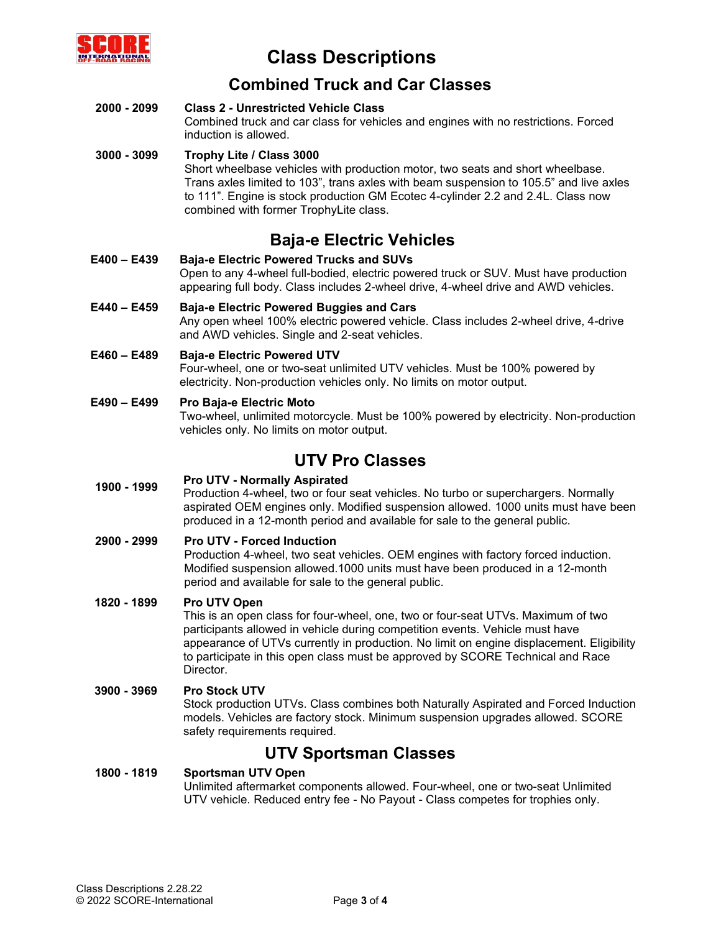

# **Combined Truck and Car Classes**

#### **2000 - 2099 Class 2 - Unrestricted Vehicle Class** Combined truck and car class for vehicles and engines with no restrictions. Forced induction is allowed.

#### **3000 - 3099 Trophy Lite / Class 3000** Short wheelbase vehicles with production motor, two seats and short wheelbase. Trans axles limited to 103", trans axles with beam suspension to 105.5" and live axles to 111". Engine is stock production GM Ecotec 4-cylinder 2.2 and 2.4L. Class now combined with former TrophyLite class.

# **Baja-e Electric Vehicles**

- **E400 – E439 Baja-e Electric Powered Trucks and SUVs** Open to any 4-wheel full-bodied, electric powered truck or SUV. Must have production appearing full body. Class includes 2-wheel drive, 4-wheel drive and AWD vehicles.
- **E440 – E459 Baja-e Electric Powered Buggies and Cars** Any open wheel 100% electric powered vehicle. Class includes 2-wheel drive, 4-drive and AWD vehicles. Single and 2-seat vehicles.
- **E460 – E489 Baja-e Electric Powered UTV** Four-wheel, one or two-seat unlimited UTV vehicles. Must be 100% powered by electricity. Non-production vehicles only. No limits on motor output.
- **E490 – E499 Pro Baja-e Electric Moto** Two-wheel, unlimited motorcycle. Must be 100% powered by electricity. Non-production vehicles only. No limits on motor output.

# **UTV Pro Classes**

# **1900 - <sup>1999</sup> Pro UTV - Normally Aspirated**

Production 4-wheel, two or four seat vehicles. No turbo or superchargers. Normally aspirated OEM engines only. Modified suspension allowed. 1000 units must have been produced in a 12-month period and available for sale to the general public.

# **2900 - 2999 Pro UTV - Forced Induction**

Production 4-wheel, two seat vehicles. OEM engines with factory forced induction. Modified suspension allowed.1000 units must have been produced in a 12-month period and available for sale to the general public.

# **1820 - 1899 Pro UTV Open**

This is an open class for four-wheel, one, two or four-seat UTVs. Maximum of two participants allowed in vehicle during competition events. Vehicle must have appearance of UTVs currently in production. No limit on engine displacement. Eligibility to participate in this open class must be approved by SCORE Technical and Race Director.

# **3900 - 3969 Pro Stock UTV**

Stock production UTVs. Class combines both Naturally Aspirated and Forced Induction models. Vehicles are factory stock. Minimum suspension upgrades allowed. SCORE safety requirements required.

# **UTV Sportsman Classes**

#### **1800 - 1819 Sportsman UTV Open** Unlimited aftermarket components allowed. Four-wheel, one or two-seat Unlimited UTV vehicle. Reduced entry fee - No Payout - Class competes for trophies only.